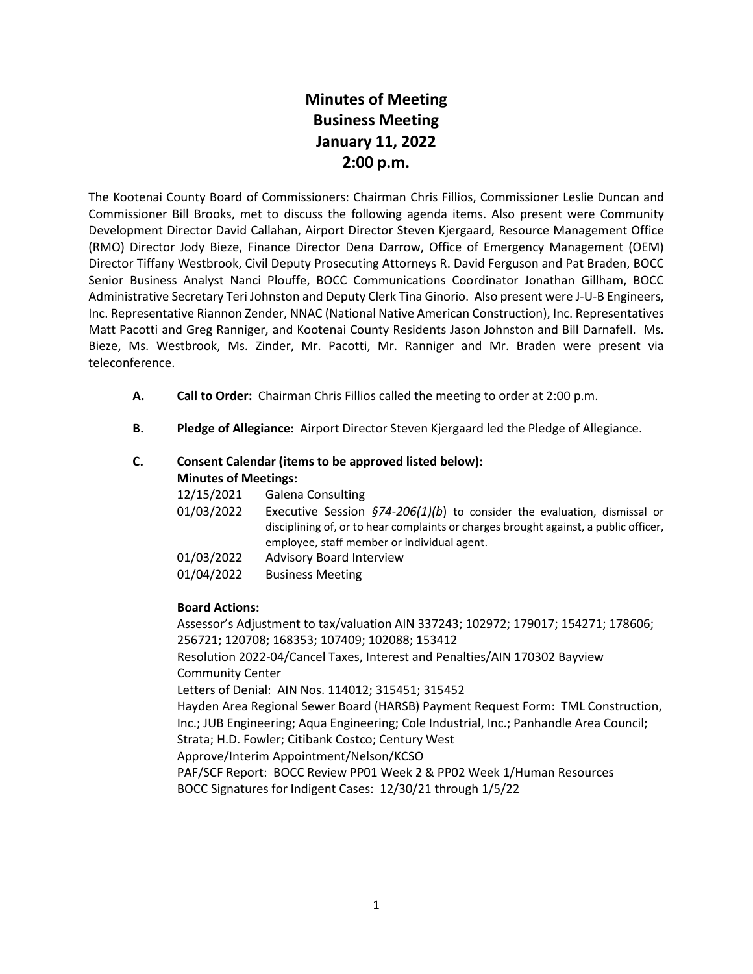# **Minutes of Meeting Business Meeting January 11, 2022 2:00 p.m.**

The Kootenai County Board of Commissioners: Chairman Chris Fillios, Commissioner Leslie Duncan and Commissioner Bill Brooks, met to discuss the following agenda items. Also present were Community Development Director David Callahan, Airport Director Steven Kjergaard, Resource Management Office (RMO) Director Jody Bieze, Finance Director Dena Darrow, Office of Emergency Management (OEM) Director Tiffany Westbrook, Civil Deputy Prosecuting Attorneys R. David Ferguson and Pat Braden, BOCC Senior Business Analyst Nanci Plouffe, BOCC Communications Coordinator Jonathan Gillham, BOCC Administrative Secretary Teri Johnston and Deputy Clerk Tina Ginorio. Also present were J-U-B Engineers, Inc. Representative Riannon Zender, NNAC (National Native American Construction), Inc. Representatives Matt Pacotti and Greg Ranniger, and Kootenai County Residents Jason Johnston and Bill Darnafell. Ms. Bieze, Ms. Westbrook, Ms. Zinder, Mr. Pacotti, Mr. Ranniger and Mr. Braden were present via teleconference.

- **A. Call to Order:** Chairman Chris Fillios called the meeting to order at 2:00 p.m.
- **B. Pledge of Allegiance:** Airport Director Steven Kjergaard led the Pledge of Allegiance.

## **C. Consent Calendar (items to be approved listed below): Minutes of Meetings:**

| 12/15/2021 | Galena Consulting                                                                                                                                                                                                        |
|------------|--------------------------------------------------------------------------------------------------------------------------------------------------------------------------------------------------------------------------|
| 01/03/2022 | Executive Session $\frac{574-206(1)}{b}$ to consider the evaluation, dismissal or<br>disciplining of, or to hear complaints or charges brought against, a public officer,<br>employee, staff member or individual agent. |
| 01/03/2022 | <b>Advisory Board Interview</b>                                                                                                                                                                                          |
| 01/04/2022 | <b>Business Meeting</b>                                                                                                                                                                                                  |
|            |                                                                                                                                                                                                                          |

## **Board Actions:**

Assessor's Adjustment to tax/valuation AIN 337243; 102972; 179017; 154271; 178606; 256721; 120708; 168353; 107409; 102088; 153412 Resolution 2022-04/Cancel Taxes, Interest and Penalties/AIN 170302 Bayview Community Center Letters of Denial: AIN Nos. 114012; 315451; 315452 Hayden Area Regional Sewer Board (HARSB) Payment Request Form: TML Construction, Inc.; JUB Engineering; Aqua Engineering; Cole Industrial, Inc.; Panhandle Area Council; Strata; H.D. Fowler; Citibank Costco; Century West Approve/Interim Appointment/Nelson/KCSO PAF/SCF Report: BOCC Review PP01 Week 2 & PP02 Week 1/Human Resources BOCC Signatures for Indigent Cases: 12/30/21 through 1/5/22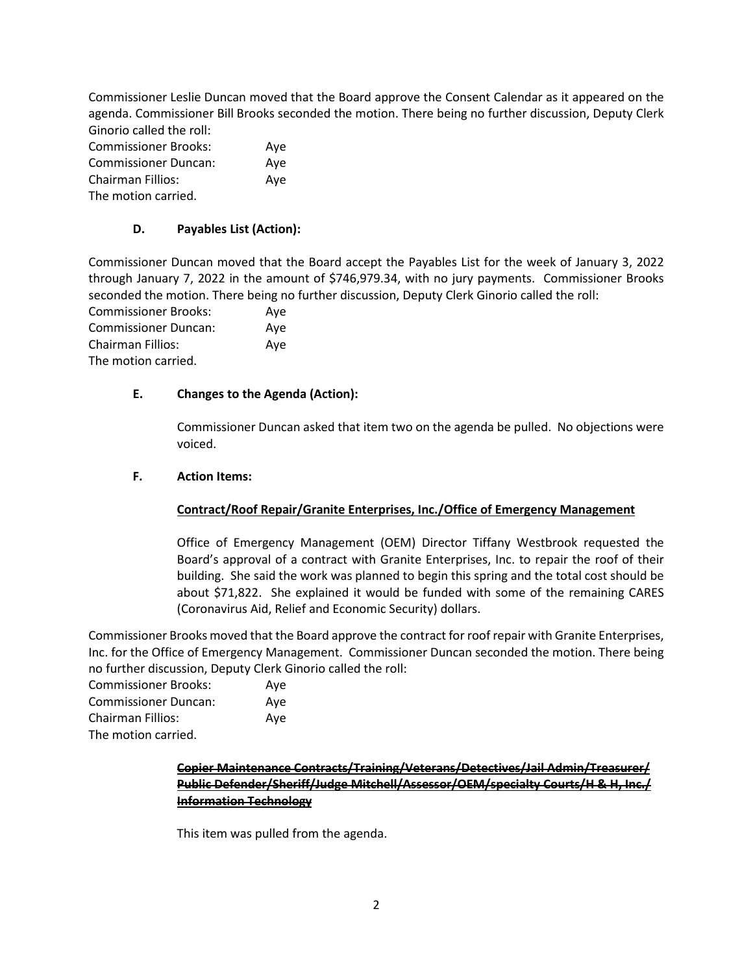Commissioner Leslie Duncan moved that the Board approve the Consent Calendar as it appeared on the agenda. Commissioner Bill Brooks seconded the motion. There being no further discussion, Deputy Clerk Ginorio called the roll:

| <b>Commissioner Brooks:</b> | Aye |
|-----------------------------|-----|
| <b>Commissioner Duncan:</b> | Ave |
| <b>Chairman Fillios:</b>    | Aye |
| The motion carried.         |     |

## **D. Payables List (Action):**

Commissioner Duncan moved that the Board accept the Payables List for the week of January 3, 2022 through January 7, 2022 in the amount of \$746,979.34, with no jury payments. Commissioner Brooks seconded the motion. There being no further discussion, Deputy Clerk Ginorio called the roll:

Commissioner Brooks: Aye Commissioner Duncan: Aye Chairman Fillios: Aye The motion carried.

## **E. Changes to the Agenda (Action):**

Commissioner Duncan asked that item two on the agenda be pulled. No objections were voiced.

## **F. Action Items:**

# **Contract/Roof Repair/Granite Enterprises, Inc./Office of Emergency Management**

Office of Emergency Management (OEM) Director Tiffany Westbrook requested the Board's approval of a contract with Granite Enterprises, Inc. to repair the roof of their building. She said the work was planned to begin this spring and the total cost should be about \$71,822. She explained it would be funded with some of the remaining CARES (Coronavirus Aid, Relief and Economic Security) dollars.

Commissioner Brooks moved that the Board approve the contract for roof repair with Granite Enterprises, Inc. for the Office of Emergency Management. Commissioner Duncan seconded the motion. There being no further discussion, Deputy Clerk Ginorio called the roll:

| Commissioner Brooks: | Ave |
|----------------------|-----|
| Commissioner Duncan: | Ave |
| Chairman Fillios:    | Ave |
| The motion carried   |     |

The motion carried.

# **Copier Maintenance Contracts/Training/Veterans/Detectives/Jail Admin/Treasurer/ Public Defender/Sheriff/Judge Mitchell/Assessor/OEM/specialty Courts/H & H, Inc./ Information Technology**

This item was pulled from the agenda.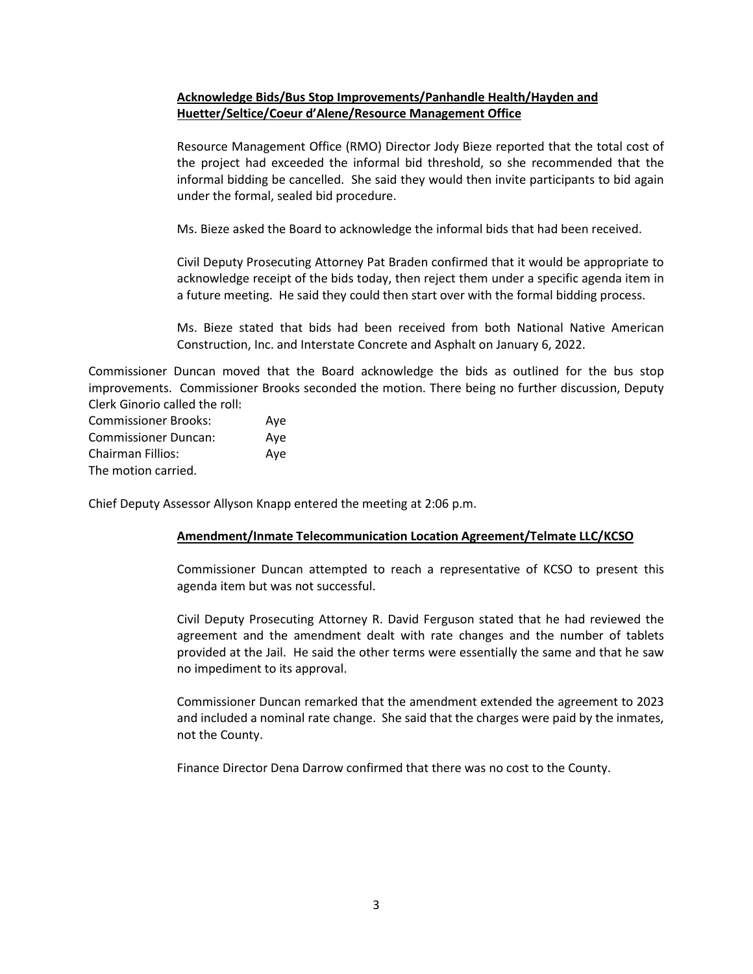## **Acknowledge Bids/Bus Stop Improvements/Panhandle Health/Hayden and Huetter/Seltice/Coeur d'Alene/Resource Management Office**

Resource Management Office (RMO) Director Jody Bieze reported that the total cost of the project had exceeded the informal bid threshold, so she recommended that the informal bidding be cancelled. She said they would then invite participants to bid again under the formal, sealed bid procedure.

Ms. Bieze asked the Board to acknowledge the informal bids that had been received.

Civil Deputy Prosecuting Attorney Pat Braden confirmed that it would be appropriate to acknowledge receipt of the bids today, then reject them under a specific agenda item in a future meeting. He said they could then start over with the formal bidding process.

Ms. Bieze stated that bids had been received from both National Native American Construction, Inc. and Interstate Concrete and Asphalt on January 6, 2022.

Commissioner Duncan moved that the Board acknowledge the bids as outlined for the bus stop improvements. Commissioner Brooks seconded the motion. There being no further discussion, Deputy Clerk Ginorio called the roll:

| <b>Commissioner Brooks:</b> | Ave |
|-----------------------------|-----|
| <b>Commissioner Duncan:</b> | Aye |
| <b>Chairman Fillios:</b>    | Ave |
| The motion carried.         |     |

Chief Deputy Assessor Allyson Knapp entered the meeting at 2:06 p.m.

## **Amendment/Inmate Telecommunication Location Agreement/Telmate LLC/KCSO**

Commissioner Duncan attempted to reach a representative of KCSO to present this agenda item but was not successful.

Civil Deputy Prosecuting Attorney R. David Ferguson stated that he had reviewed the agreement and the amendment dealt with rate changes and the number of tablets provided at the Jail. He said the other terms were essentially the same and that he saw no impediment to its approval.

Commissioner Duncan remarked that the amendment extended the agreement to 2023 and included a nominal rate change. She said that the charges were paid by the inmates, not the County.

Finance Director Dena Darrow confirmed that there was no cost to the County.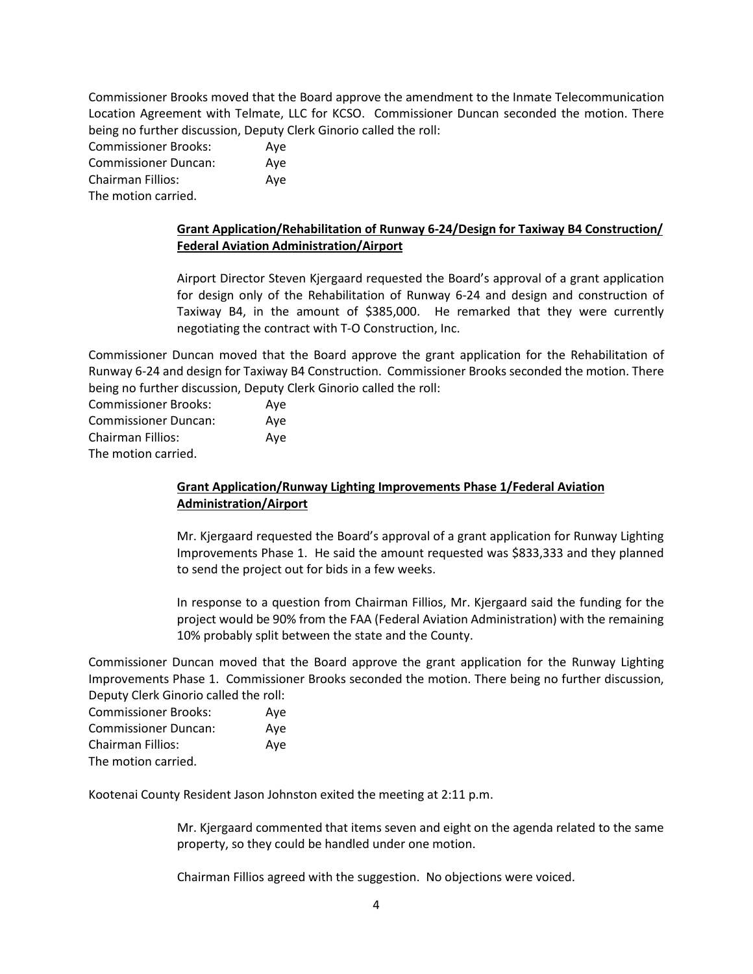Commissioner Brooks moved that the Board approve the amendment to the Inmate Telecommunication Location Agreement with Telmate, LLC for KCSO. Commissioner Duncan seconded the motion. There being no further discussion, Deputy Clerk Ginorio called the roll:

Commissioner Brooks: Aye Commissioner Duncan: Aye Chairman Fillios: Aye The motion carried.

## **Grant Application/Rehabilitation of Runway 6-24/Design for Taxiway B4 Construction/ Federal Aviation Administration/Airport**

Airport Director Steven Kjergaard requested the Board's approval of a grant application for design only of the Rehabilitation of Runway 6-24 and design and construction of Taxiway B4, in the amount of \$385,000. He remarked that they were currently negotiating the contract with T-O Construction, Inc.

Commissioner Duncan moved that the Board approve the grant application for the Rehabilitation of Runway 6-24 and design for Taxiway B4 Construction. Commissioner Brooks seconded the motion. There being no further discussion, Deputy Clerk Ginorio called the roll:

| <b>Commissioner Brooks:</b> | Aye |
|-----------------------------|-----|
| <b>Commissioner Duncan:</b> | Ave |
| Chairman Fillios:           | Aye |
| The motion carried.         |     |

## **Grant Application/Runway Lighting Improvements Phase 1/Federal Aviation Administration/Airport**

Mr. Kjergaard requested the Board's approval of a grant application for Runway Lighting Improvements Phase 1. He said the amount requested was \$833,333 and they planned to send the project out for bids in a few weeks.

In response to a question from Chairman Fillios, Mr. Kjergaard said the funding for the project would be 90% from the FAA (Federal Aviation Administration) with the remaining 10% probably split between the state and the County.

Commissioner Duncan moved that the Board approve the grant application for the Runway Lighting Improvements Phase 1. Commissioner Brooks seconded the motion. There being no further discussion, Deputy Clerk Ginorio called the roll:

| <b>Commissioner Brooks:</b> | Ave |
|-----------------------------|-----|
| <b>Commissioner Duncan:</b> | Ave |
| <b>Chairman Fillios:</b>    | Ave |
| The motion carried.         |     |

Kootenai County Resident Jason Johnston exited the meeting at 2:11 p.m.

Mr. Kjergaard commented that items seven and eight on the agenda related to the same property, so they could be handled under one motion.

Chairman Fillios agreed with the suggestion. No objections were voiced.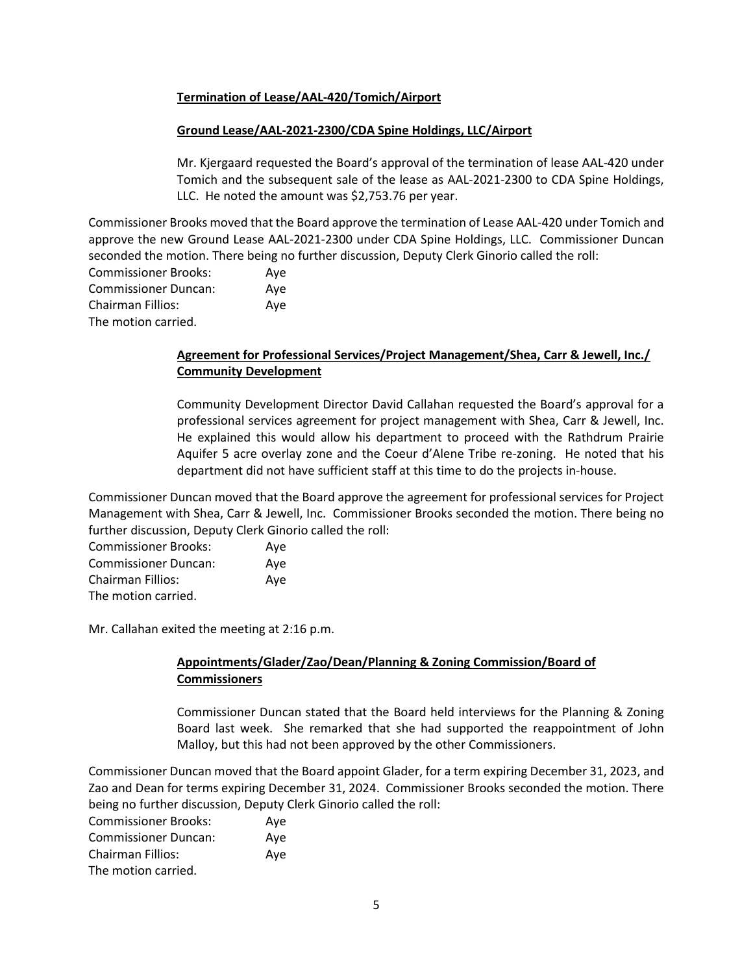## **Termination of Lease/AAL-420/Tomich/Airport**

## **Ground Lease/AAL-2021-2300/CDA Spine Holdings, LLC/Airport**

Mr. Kjergaard requested the Board's approval of the termination of lease AAL-420 under Tomich and the subsequent sale of the lease as AAL-2021-2300 to CDA Spine Holdings, LLC. He noted the amount was \$2,753.76 per year.

Commissioner Brooks moved that the Board approve the termination of Lease AAL-420 under Tomich and approve the new Ground Lease AAL-2021-2300 under CDA Spine Holdings, LLC. Commissioner Duncan seconded the motion. There being no further discussion, Deputy Clerk Ginorio called the roll:

| <b>Commissioner Brooks:</b> | Aye |
|-----------------------------|-----|
| <b>Commissioner Duncan:</b> | Aye |
| <b>Chairman Fillios:</b>    | Aye |
| The motion carried.         |     |

## **Agreement for Professional Services/Project Management/Shea, Carr & Jewell, Inc./ Community Development**

Community Development Director David Callahan requested the Board's approval for a professional services agreement for project management with Shea, Carr & Jewell, Inc. He explained this would allow his department to proceed with the Rathdrum Prairie Aquifer 5 acre overlay zone and the Coeur d'Alene Tribe re-zoning. He noted that his department did not have sufficient staff at this time to do the projects in-house.

Commissioner Duncan moved that the Board approve the agreement for professional services for Project Management with Shea, Carr & Jewell, Inc. Commissioner Brooks seconded the motion. There being no further discussion, Deputy Clerk Ginorio called the roll:

| <b>Commissioner Brooks:</b> | Ave |
|-----------------------------|-----|
| <b>Commissioner Duncan:</b> | Aye |
| Chairman Fillios:           | Ave |
| The motion carried.         |     |

Mr. Callahan exited the meeting at 2:16 p.m.

# **Appointments/Glader/Zao/Dean/Planning & Zoning Commission/Board of Commissioners**

Commissioner Duncan stated that the Board held interviews for the Planning & Zoning Board last week. She remarked that she had supported the reappointment of John Malloy, but this had not been approved by the other Commissioners.

Commissioner Duncan moved that the Board appoint Glader, for a term expiring December 31, 2023, and Zao and Dean for terms expiring December 31, 2024. Commissioner Brooks seconded the motion. There being no further discussion, Deputy Clerk Ginorio called the roll:

| <b>Commissioner Brooks:</b> | Aye |
|-----------------------------|-----|
| <b>Commissioner Duncan:</b> | Ave |
| Chairman Fillios:           | Ave |
| The motion carried.         |     |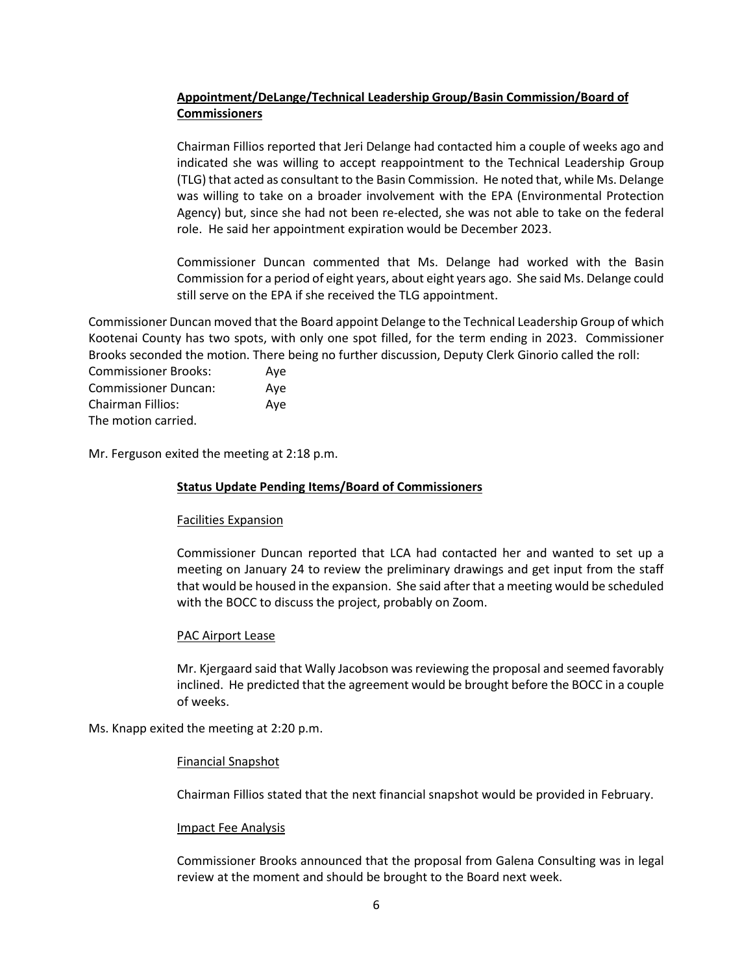# **Appointment/DeLange/Technical Leadership Group/Basin Commission/Board of Commissioners**

Chairman Fillios reported that Jeri Delange had contacted him a couple of weeks ago and indicated she was willing to accept reappointment to the Technical Leadership Group (TLG) that acted as consultant to the Basin Commission. He noted that, while Ms. Delange was willing to take on a broader involvement with the EPA (Environmental Protection Agency) but, since she had not been re-elected, she was not able to take on the federal role. He said her appointment expiration would be December 2023.

Commissioner Duncan commented that Ms. Delange had worked with the Basin Commission for a period of eight years, about eight years ago. She said Ms. Delange could still serve on the EPA if she received the TLG appointment.

Commissioner Duncan moved that the Board appoint Delange to the Technical Leadership Group of which Kootenai County has two spots, with only one spot filled, for the term ending in 2023. Commissioner Brooks seconded the motion. There being no further discussion, Deputy Clerk Ginorio called the roll:

Commissioner Brooks: Aye Commissioner Duncan: Aye Chairman Fillios: Aye The motion carried.

Mr. Ferguson exited the meeting at 2:18 p.m.

#### **Status Update Pending Items/Board of Commissioners**

#### Facilities Expansion

Commissioner Duncan reported that LCA had contacted her and wanted to set up a meeting on January 24 to review the preliminary drawings and get input from the staff that would be housed in the expansion. She said after that a meeting would be scheduled with the BOCC to discuss the project, probably on Zoom.

#### PAC Airport Lease

Mr. Kjergaard said that Wally Jacobson was reviewing the proposal and seemed favorably inclined. He predicted that the agreement would be brought before the BOCC in a couple of weeks.

Ms. Knapp exited the meeting at 2:20 p.m.

#### Financial Snapshot

Chairman Fillios stated that the next financial snapshot would be provided in February.

#### Impact Fee Analysis

Commissioner Brooks announced that the proposal from Galena Consulting was in legal review at the moment and should be brought to the Board next week.